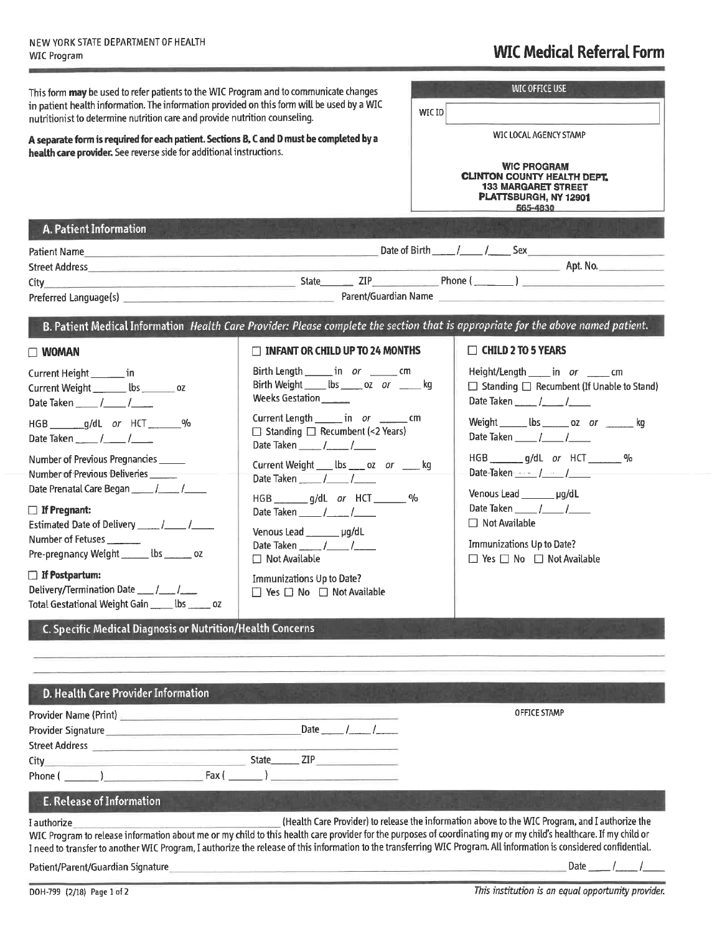## WIC Medical Referral Form

| This form may be used to refer patients to the WIC Program and to communicate changes<br>in patient health information. The information provided on this form will be used by a WIC<br>nutritionist to determine nutrition care and provide nutrition counseling.<br>A separate form is required for each patient. Sections B, C and D must be completed by a<br>health care provider. See reverse side for additional instructions.                                                                                                                                   |                                                                                                                                                                                                                                                                                                                                                                                                                                                                                                                                                                                     | <b>WIC OFFICE USE</b><br>WIC ID<br>WIC LOCAL AGENCY STAMP<br><b>WIC PROGRAM</b><br><b>CLINTON COUNTY HEALTH DEPT.</b><br><b>133 MARGARET STREET</b><br>PLATTSBURGH, NY 12901<br>565-4830                                                                                                                                                                                                                                                                                                                                                                                                                      |
|------------------------------------------------------------------------------------------------------------------------------------------------------------------------------------------------------------------------------------------------------------------------------------------------------------------------------------------------------------------------------------------------------------------------------------------------------------------------------------------------------------------------------------------------------------------------|-------------------------------------------------------------------------------------------------------------------------------------------------------------------------------------------------------------------------------------------------------------------------------------------------------------------------------------------------------------------------------------------------------------------------------------------------------------------------------------------------------------------------------------------------------------------------------------|---------------------------------------------------------------------------------------------------------------------------------------------------------------------------------------------------------------------------------------------------------------------------------------------------------------------------------------------------------------------------------------------------------------------------------------------------------------------------------------------------------------------------------------------------------------------------------------------------------------|
| A. Patient Information<br>Patient Name<br>Street Address and the company of the company of the company of the company of the company of the company of the company of the company of the company of the company of the company of the company of the company of the comp<br>Preferred Language(s) entertainment and the Parent/Guardian Name                                                                                                                                                                                                                           |                                                                                                                                                                                                                                                                                                                                                                                                                                                                                                                                                                                     | Date of Birth $\frac{1}{\sqrt{2}}$ / Sex<br>$\mathsf{Apt.~No.}$<br>City Phone (All Annual According of State All Annual According of Phone (All Annual According of According Office All Annual According of According Office According Office According Office According Office According Office                                                                                                                                                                                                                                                                                                             |
| $\Box$ WOMAN<br>Current Height ________ in<br>Current Weight _______ lbs _______ oz<br>Date Taken ______ /______ /______<br>HGB _______ g/dL or HCT ________ %<br>Date Taken ______ /_____ /_____<br>Number of Previous Pregnancies ______<br>Number of Previous Deliveries<br>$\Box$ If Pregnant:<br>Estimated Date of Delivery _____ /____ /_____<br>Number of Fetuses ________<br>Pre-pregnancy Weight ______ lbs _______ oz<br>$\Box$ If Postpartum:<br>Delivery/Termination Date ____ /____ /____<br>Total Gestational Weight Gain _____ lbs ______ oz            | $\Box$ INFANT OR CHILD UP TO 24 MONTHS<br>Birth Length _______ in or ________ cm<br>Birth Weight _____ lbs ______ oz or ______ kg<br>Weeks Gestation<br>Current Length _______ in or _______ cm<br>$\Box$ Standing $\Box$ Recumbent (<2 Years)<br>Date Taken _____ /_____ /_____<br>Current Weight ____ lbs ____ oz or ____ kg<br>Date Taken $/$ /<br>HGB _______ g/dL or HCT _______ %<br>Date Taken $/$ $/$ $/$<br>Venous Lead ________ µg/dL<br>Date Taken _____ /_____ /_____<br>$\Box$ Not Available<br>Immunizations Up to Date?<br>$\Box$ Yes $\Box$ No $\Box$ Not Available | B. Patient Medical Information Health Care Provider: Please complete the section that is appropriate for the above named patient.<br>$\Box$ CHILD 2 TO 5 YEARS<br>Height/Length _____ in or _____ cm<br>$\Box$ Standing $\Box$ Recumbent (If Unable to Stand)<br>Date Taken ______ /_____ /______<br>Weight ______ lbs _______ oz or _______ kg<br>Date Taken $\frac{1}{\sqrt{1-\frac{1}{2}}}$<br>HGB _______ q/dL or HCT _______ %<br>Date-Taken 11 12 1<br>Venous Lead ________ µg/dL<br>Date Taken $1/2$<br>$\Box$ Not Available<br>Immunizations Up to Date?<br>$\Box$ Yes $\Box$ No $\Box$ Not Available |
| C. Specific Medical Diagnosis or Nutrition/Health Concerns<br>D. Health Care Provider Information<br>Provider Name (Print) 2008 2009 2010 2020 2021 2022 2023 2024 2022 2023 2024 2022 2023 2024 2022 2023 2024 20<br>Street Address <b>Executive Contract Contract Contract Contract Contract Contract Contract Contract Contract Contract Contract Contract Contract Contract Contract Contract Contract Contract Contract Contract Contract Contrac</b><br>Phone $(\begin{array}{c} \begin{array}{c} \end{array}$ $)$<br>E. Release of Information<br>I authorize . |                                                                                                                                                                                                                                                                                                                                                                                                                                                                                                                                                                                     | <b>OFFICE STAMP</b><br>(Health Care Provider) to release the information above to the WIC Program, and I authorize the<br>WIC Program to release information about me or my child to this health care provider for the purposes of coordinating my or my child's healthcare. If my child or<br>I need to transfer to another WIC Program, I authorize the release of this information to the transferring WIC Program. All information is considered confidential.                                                                                                                                            |

Patient/Parent/Guardian Signature

Date \_\_\_\_\_ /\_\_\_\_\_ /